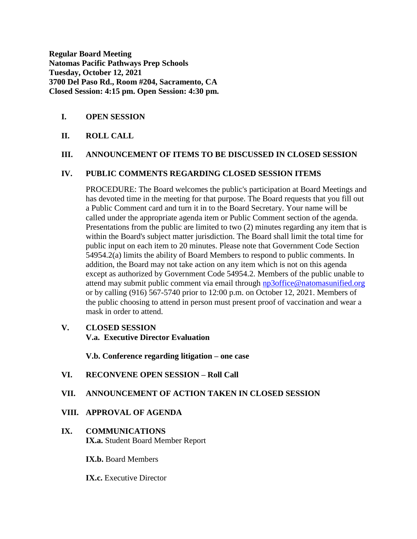**Regular Board Meeting Natomas Pacific Pathways Prep Schools Tuesday, October 12, 2021 3700 Del Paso Rd., Room #204, Sacramento, CA Closed Session: 4:15 pm. Open Session: 4:30 pm.**

### **I. OPEN SESSION**

### **II. ROLL CALL**

#### **III. ANNOUNCEMENT OF ITEMS TO BE DISCUSSED IN CLOSED SESSION**

#### **IV. PUBLIC COMMENTS REGARDING CLOSED SESSION ITEMS**

PROCEDURE: The Board welcomes the public's participation at Board Meetings and has devoted time in the meeting for that purpose. The Board requests that you fill out a Public Comment card and turn it in to the Board Secretary. Your name will be called under the appropriate agenda item or Public Comment section of the agenda. Presentations from the public are limited to two (2) minutes regarding any item that is within the Board's subject matter jurisdiction. The Board shall limit the total time for public input on each item to 20 minutes. Please note that Government Code Section 54954.2(a) limits the ability of Board Members to respond to public comments. In addition, the Board may not take action on any item which is not on this agenda except as authorized by Government Code 54954.2. Members of the public unable to attend may submit public comment via email through [np3office@natomasunified.org](mailto:np3office@natomasunified.org) or by calling (916) 567-5740 prior to 12:00 p.m. on October 12, 2021. Members of the public choosing to attend in person must present proof of vaccination and wear a mask in order to attend.

#### **V. CLOSED SESSION**

**V.a. Executive Director Evaluation**

**V.b. Conference regarding litigation – one case**

#### **VI. RECONVENE OPEN SESSION – Roll Call**

#### **VII. ANNOUNCEMENT OF ACTION TAKEN IN CLOSED SESSION**

#### **VIII. APPROVAL OF AGENDA**

### **IX. COMMUNICATIONS IX.a.** Student Board Member Report

**IX.b.** Board Members

**IX.c.** Executive Director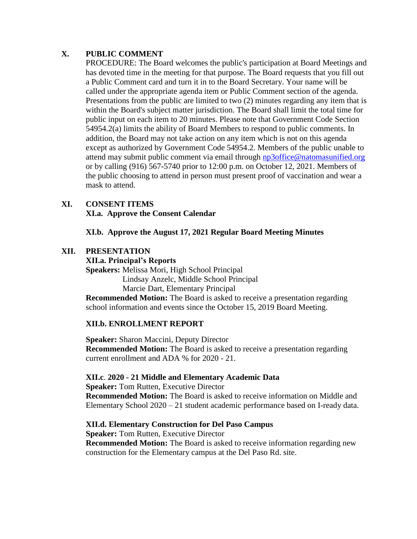# **X. PUBLIC COMMENT**

PROCEDURE: The Board welcomes the public's participation at Board Meetings and has devoted time in the meeting for that purpose. The Board requests that you fill out a Public Comment card and turn it in to the Board Secretary. Your name will be called under the appropriate agenda item or Public Comment section of the agenda. Presentations from the public are limited to two (2) minutes regarding any item that is within the Board's subject matter jurisdiction. The Board shall limit the total time for public input on each item to 20 minutes. Please note that Government Code Section 54954.2(a) limits the ability of Board Members to respond to public comments. In addition, the Board may not take action on any item which is not on this agenda except as authorized by Government Code 54954.2. Members of the public unable to attend may submit public comment via email through [np3office@natomasunified.org](mailto:np3office@natomasunified.org) or by calling (916) 567-5740 prior to 12:00 p.m. on October 12, 2021. Members of the public choosing to attend in person must present proof of vaccination and wear a mask to attend.

# **XI. CONSENT ITEMS**

**XI.a. Approve the Consent Calendar**

**XI.b. Approve the August 17, 2021 Regular Board Meeting Minutes**

# **XII. PRESENTATION**

### **XII.a. Principal's Reports**

**Speakers:** Melissa Mori, High School Principal Lindsay Anzelc, Middle School Principal Marcie Dart, Elementary Principal

**Recommended Motion:** The Board is asked to receive a presentation regarding school information and events since the October 15, 2019 Board Meeting.

# **XII.b. ENROLLMENT REPORT**

**Speaker:** Sharon Maccini, Deputy Director **Recommended Motion:** The Board is asked to receive a presentation regarding current enrollment and ADA % for 2020 - 21.

# **XII.c**. **2020 - 21 Middle and Elementary Academic Data**

**Speaker:** Tom Rutten, Executive Director **Recommended Motion:** The Board is asked to receive information on Middle and Elementary School 2020 – 21 student academic performance based on I-ready data.

# **XII.d. Elementary Construction for Del Paso Campus**

**Speaker:** Tom Rutten, Executive Director **Recommended Motion:** The Board is asked to receive information regarding new construction for the Elementary campus at the Del Paso Rd. site.